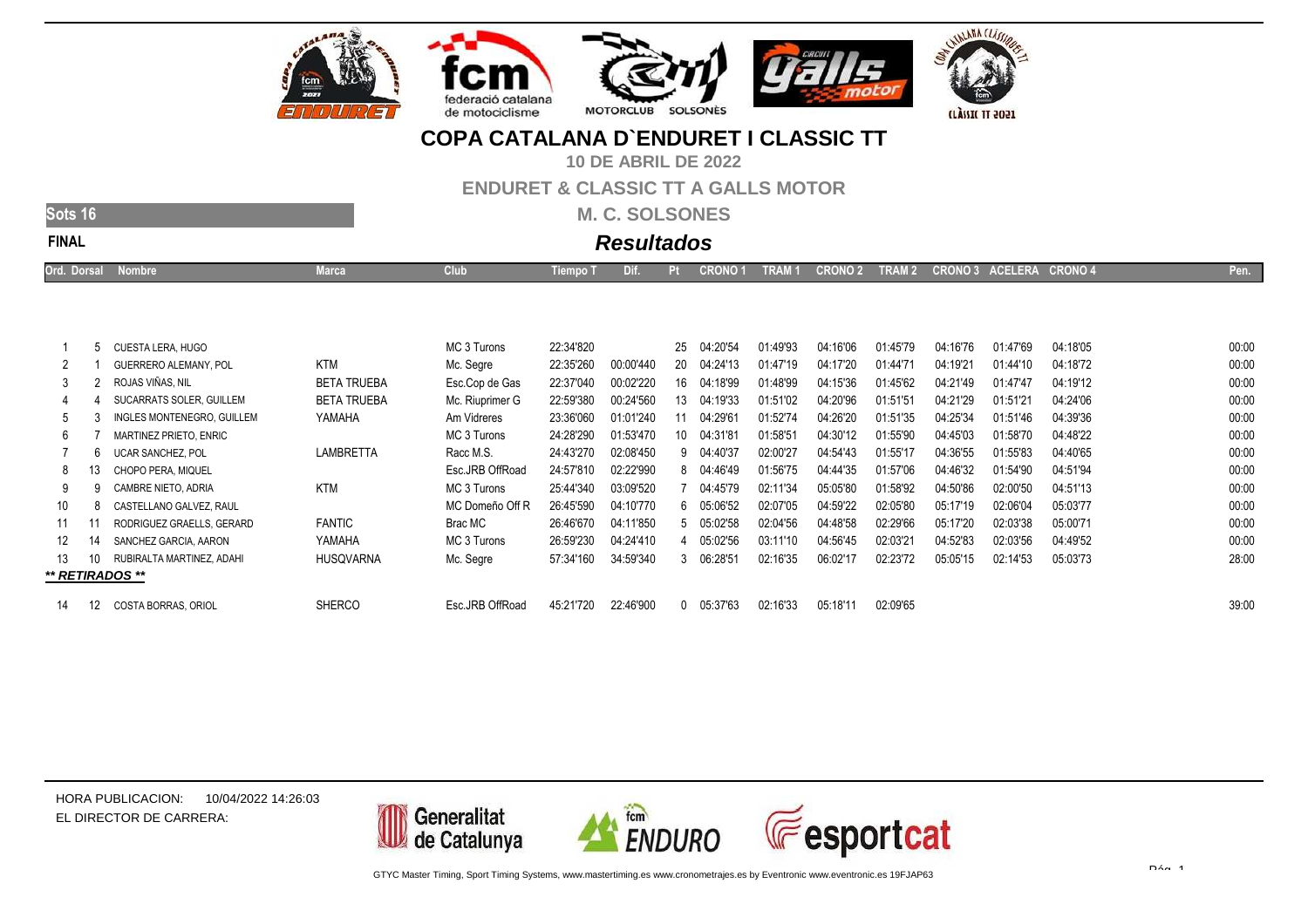



**10 DE ABRIL DE 2022**

#### **ENDURET & CLASSIC TT A GALLS MOTOR**

**M. C. SOLSONES**

| Nμ |  |
|----|--|

# **Resultados**

|  | <b>Ord. Dorsal</b><br><b>Alomore</b><br>the contract of the contract of the contract of<br>_____ | and the contract of the con- | <u>ulup</u> | <b>Tempo</b> | ЛI. |  | JRONO 1 | TRAM · | <b>CRONO 2</b> | <b>TDAM Q</b><br>LEVANIL | <b>CRONO:</b> | $A$ $A$ $F$ $F$<br>しょくり ボデ<br>18.Ym | ADADAD<br><b>UNUNU</b><br>________ |  |  |
|--|--------------------------------------------------------------------------------------------------|------------------------------|-------------|--------------|-----|--|---------|--------|----------------|--------------------------|---------------|-------------------------------------|------------------------------------|--|--|
|--|--------------------------------------------------------------------------------------------------|------------------------------|-------------|--------------|-----|--|---------|--------|----------------|--------------------------|---------------|-------------------------------------|------------------------------------|--|--|

|    |    | CUESTA LERA, HUGO          |                    | MC 3 Turons     | 22:34'820 |           | 25           | 04:20'54 | 01:49'93 | 04:16'06 | 01:45'79 | 04:16'76 | 01:47'69 | 04:18'05 | 00:00 |
|----|----|----------------------------|--------------------|-----------------|-----------|-----------|--------------|----------|----------|----------|----------|----------|----------|----------|-------|
|    |    | GUERRERO ALEMANY, POL      | KTM                | Mc. Segre       | 22:35'260 | 00:00'440 | 20           | 04:24'13 | 01:47'19 | 04:17'20 | 01:44'71 | 04:19'21 | 01:44'10 | 04:18'72 | 00:00 |
|    |    | ROJAS VIÑAS, NIL           | <b>BETA TRUEBA</b> | Esc.Cop de Gas  | 22:37'040 | 00:02'220 | 16           | 04:18'99 | 01:48'99 | 04:15'36 | 01:45'62 | 04:21'49 | 01:47'47 | 04:19'12 | 00:00 |
|    |    | SUCARRATS SOLER, GUILLEM   | <b>BETA TRUEBA</b> | Mc. Riuprimer G | 22:59'380 | 00:24'560 | 13           | 04:19'33 | 01:51'02 | 04:20'96 | 01:51'51 | 04:21'29 | 01:51'21 | 04:24'06 | 00:00 |
| 5  |    | INGLES MONTENEGRO. GUILLEM | YAMAHA             | Am Vidreres     | 23:36'060 | 01:01'240 |              | 04:29'61 | 01:52'74 | 04:26'20 | 01:51'35 | 04:25'34 | 01:51'46 | 04:39'36 | 00:00 |
| 6  |    | MARTINEZ PRIETO. ENRIC     |                    | MC 3 Turons     | 24:28'290 | 01:53'470 | 10           | 04:31'81 | 01:58'51 | 04:30'12 | 01:55'90 | 04:45'03 | 01:58'70 | 04:48'22 | 00:00 |
|    |    | <b>UCAR SANCHEZ, POL</b>   | <b>LAMBRETTA</b>   | Racc M.S.       | 24:43'270 | 02:08'450 | 9            | 04:40'37 | 02:00'27 | 04:54'43 | 01:55'17 | 04:36'55 | 01:55'83 | 04:40'65 | 00:00 |
| 8  | 13 | CHOPO PERA. MIQUEL         |                    | Esc.JRB OffRoad | 24:57'810 | 02:22'990 | 8            | 04:46'49 | 01:56'75 | 04:44'35 | 01:57'06 | 04:46'32 | 01:54'90 | 04:51'94 | 00:00 |
| 9  |    | CAMBRE NIETO, ADRIA        | <b>KTM</b>         | MC 3 Turons     | 25:44'340 | 03:09'520 |              | 04:45'79 | 02:11'34 | 05:05'80 | 01:58'92 | 04:50'86 | 02:00'50 | 04:51'13 | 00:00 |
| 10 |    | CASTELLANO GALVEZ, RAUL    |                    | MC Domeño Off R | 26:45'590 | 04:10'770 | 6            | 05:06'52 | 02:07'05 | 04:59'22 | 02:05'80 | 05:17'19 | 02:06'04 | 05:03'77 | 00:00 |
| 11 |    | RODRIGUEZ GRAELLS, GERARD  | <b>FANTIC</b>      | Brac MC         | 26:46'670 | 04:11'850 | 5            | 05:02'58 | 02:04'56 | 04:48'58 | 02:29'66 | 05:17'20 | 02:03'38 | 05:00'71 | 00:00 |
| 12 | 14 | SANCHEZ GARCIA, AARON      | YAMAHA             | MC 3 Turons     | 26:59'230 | 04:24'410 | 4            | 05:02'56 | 03:11'10 | 04:56'45 | 02:03'21 | 04:52'83 | 02:03'56 | 04:49'52 | 00:00 |
| 13 | 10 | RUBIRALTA MARTINEZ, ADAHI  | <b>HUSQVARNA</b>   | Mc. Segre       | 57:34'160 | 34:59'340 | 3            | 06:28'51 | 02:16'35 | 06:02'17 | 02:23'72 | 05:05'15 | 02:14'53 | 05:03'73 | 28:00 |
|    |    | ** RETIRADOS **            |                    |                 |           |           |              |          |          |          |          |          |          |          |       |
|    |    |                            |                    |                 |           |           |              |          |          |          |          |          |          |          |       |
| 14 | 12 | <b>COSTA BORRAS, ORIOL</b> | <b>SHERCO</b>      | Esc.JRB OffRoad | 45:21'720 | 22:46'900 | $\mathbf{0}$ | 05:37'63 | 02:16'33 | 05:18'11 | 02:09'65 |          |          |          | 39:00 |

HORA PUBLICACION:10/04/2022 14:26:03EL DIRECTOR DE CARRERA:

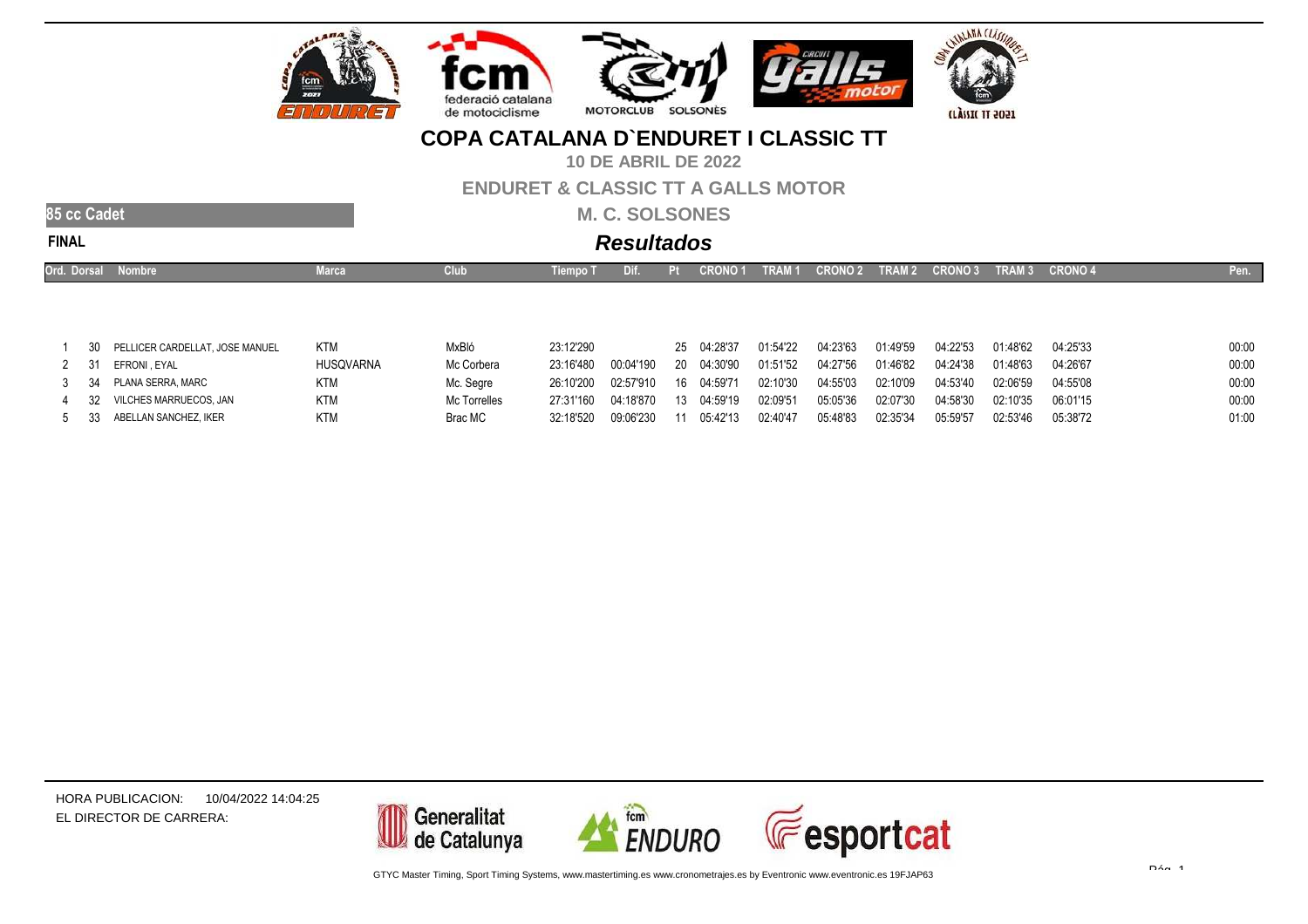

**10 DE ABRIL DE 2022**

#### **ENDURET & CLASSIC TT A GALLS MOTOR**

**M. C. SOLSONES**

| NAI |  |
|-----|--|

|    | Ord. Dorsal Nombre              | Marca      | Club  | Tiempo T  | Dif. | . Pi                                                                                         |          | CRONO 1 TRAM 1 CRONO 2 TRAM 2 CRONO 3 TRAM 3 CRONO 4 |          |          |          |          | Pen.  |
|----|---------------------------------|------------|-------|-----------|------|----------------------------------------------------------------------------------------------|----------|------------------------------------------------------|----------|----------|----------|----------|-------|
|    |                                 |            |       |           |      |                                                                                              |          |                                                      |          |          |          |          |       |
|    |                                 |            |       |           |      |                                                                                              |          |                                                      |          |          |          |          |       |
| 30 | PELLICER CARDELLAT, JOSE MANUEL | <b>KTM</b> | MxBló | 23:12'290 |      | 25 04:28'37                                                                                  | 01:54'22 | 04:23'63                                             | 01:49'59 | 04:22'53 | 01:48'62 | 04:25'33 | 00:00 |
|    |                                 | .          | .     |           |      | المتحديد المقتدين المقترضية المقتدين والمتمالي المستحدين والمتحدد المقترض والمقتدين والمقترض |          |                                                      |          |          |          |          | $  -$ |

|  | 2 31 EFRONI, EYAL           | <b>HUSQVARNA</b> | Mc Corbera   | 23:16'480 |                                                                                      |  |          |          |          |                   | 04:26'67 | 00:00 |
|--|-----------------------------|------------------|--------------|-----------|--------------------------------------------------------------------------------------|--|----------|----------|----------|-------------------|----------|-------|
|  | 3 34 PLANA SERRA. MARC      | KTM              | Mc. Segre    |           | 26:10'200  02:57'910  16  04:59'71  02:10'30  04:55'03  02:10'09  04:53'40  02:06'59 |  |          |          |          |                   | 04:55'08 | 00:00 |
|  | 4 32 VILCHES MARRUECOS, JAN | <b>KTM</b>       | Mc Torrelles |           | 27:31'160  04:18'870  13  04:59'19  02:09'51  05:05'36  02:07'30  04:58'30  02:10'35 |  |          |          |          |                   | 06:01'15 | 00:00 |
|  | 5 33 ABELLAN SANCHEZ, IKER  | <b>KTM</b>       | Brac MC      |           | 32:18'520  09:06'230  11  05:42'13                                                   |  | 02:40'47 | 05:48'83 | 02:35'34 | 05:59'57 02:53'46 | 05:38'72 | 01:00 |

HORA PUBLICACION:10/04/2022 14:04:25EL DIRECTOR DE CARRERA:

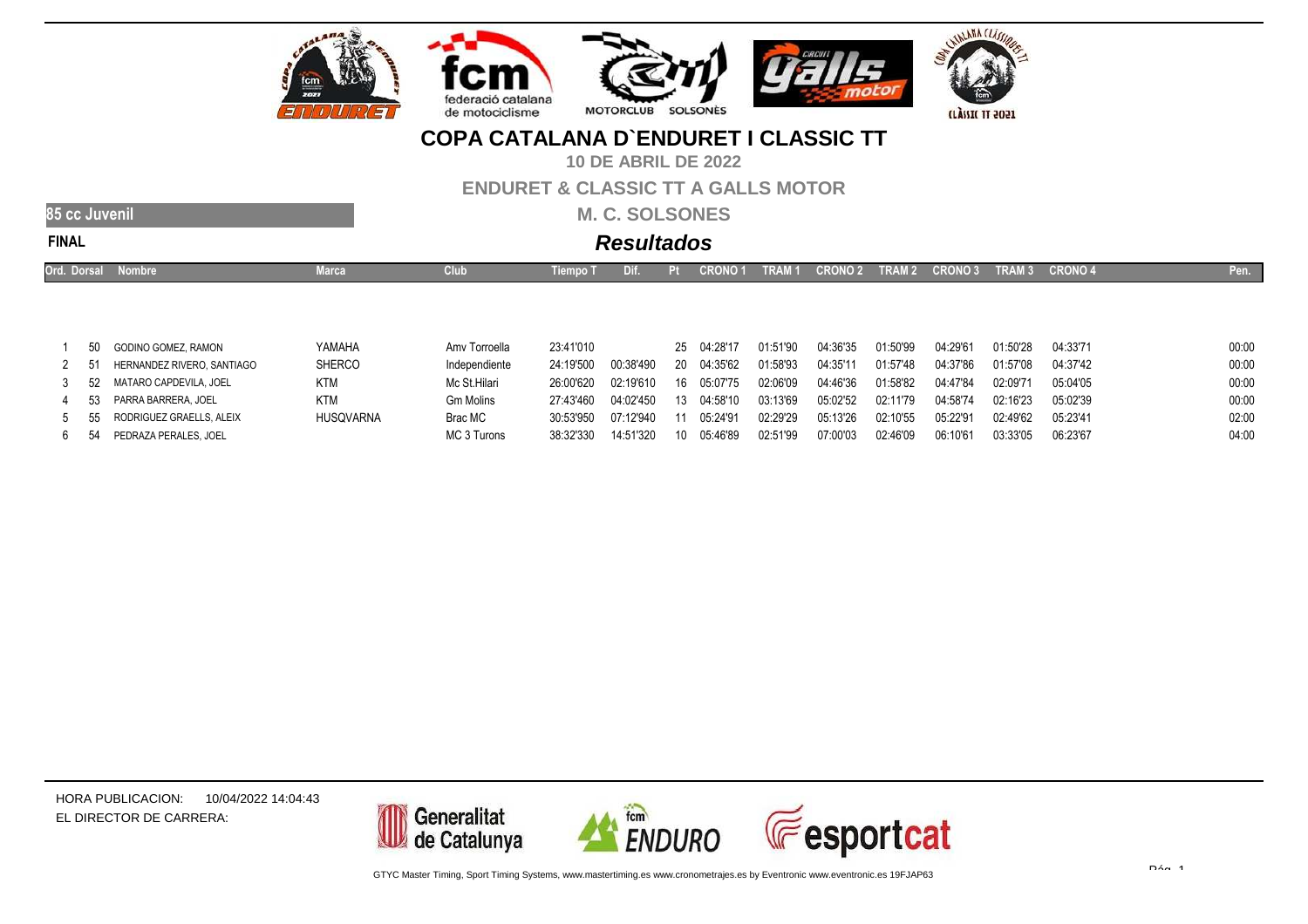

**10 DE ABRIL DE 2022**

#### **ENDURET & CLASSIC TT A GALLS MOTOR**

**M. C. SOLSONES**

|       | <b>ARTIU</b><br>机电压 |
|-------|---------------------|
| FINAI |                     |

# **Resultados**

| Ord. Dorsal | Nombre                     | Marca         | Club             | Tiempo <sup>-</sup> | DJ 1.     |    | <b>CRONO1</b> | <b>TRAM1</b> | <b>CRONO 2</b> | TRAM 2   | <b>CRONO 3</b> | <b>TRAM3</b> | <b>CRONO 4</b> | Pen.  |
|-------------|----------------------------|---------------|------------------|---------------------|-----------|----|---------------|--------------|----------------|----------|----------------|--------------|----------------|-------|
|             |                            |               |                  |                     |           |    |               |              |                |          |                |              |                |       |
|             |                            |               |                  |                     |           |    |               |              |                |          |                |              |                |       |
|             | 50 GODINO GOMEZ, RAMON     | YAMAHA        | Amy Torroella    | 23:41'010           |           |    | 25 04:28'17   | 01:51'90     | 04:36'35       | 01:50'99 | 04:29'61       | 01:50'28     | 04:33'71       | 00:00 |
| 51          | HERNANDEZ RIVERO. SANTIAGO | <b>SHERCO</b> | Independiente    | 24:19'500           | 00:38'490 | 20 | 04:35'62      | 01:58'93     | 04:35'11       | 01:57'48 | 04:37'86       | 01:57'08     | 04:37'42       | 00:00 |
|             | 52 MATARO CAPDEVILA, JOEL  | <b>KTM</b>    | Mc St.Hilari     | 26:00'620           | 02:19'610 | 16 | 05:07'75      | 02:06'09     | 04:46'36       | 01:58'82 | 04:47'84       | 02:09'71     | 05:04'05       | 00:00 |
| 53          | PARRA BARRERA, JOEL        | <b>KTM</b>    | <b>Gm Molins</b> | 27:43'460           | 04:02'450 | 13 | ገ4 58'10      | 03:13'69     | 05:02'52       | 02:11'79 | 04:58'74       | 02:16'23     | 05:02'39       | 00:00 |
|             |                            |               |                  |                     |           |    |               |              |                |          |                |              |                |       |

30:53'950 07:12'940 <sup>11</sup> 05:24'91 02:29'29 05:13'26 02:10'55 05:22'91 02:49'62 05:23'41 02:00

Brac MC<br>MC 3 Turons

555 RODRIGUEZ GRAELLS, ALEIX HUSQVARNA 6<sup>54</sup> PEDRAZA PERALES, JOEL MC 3 Turons 38:32'330 14:51'320 <sup>10</sup> 05:46'89 02:51'99 07:00'03 02:46'09 06:10'61 03:33'05 06:23'67 04:00

HORA PUBLICACION:EL DIRECTOR DE CARRERA:10/04/2022 14:04:43

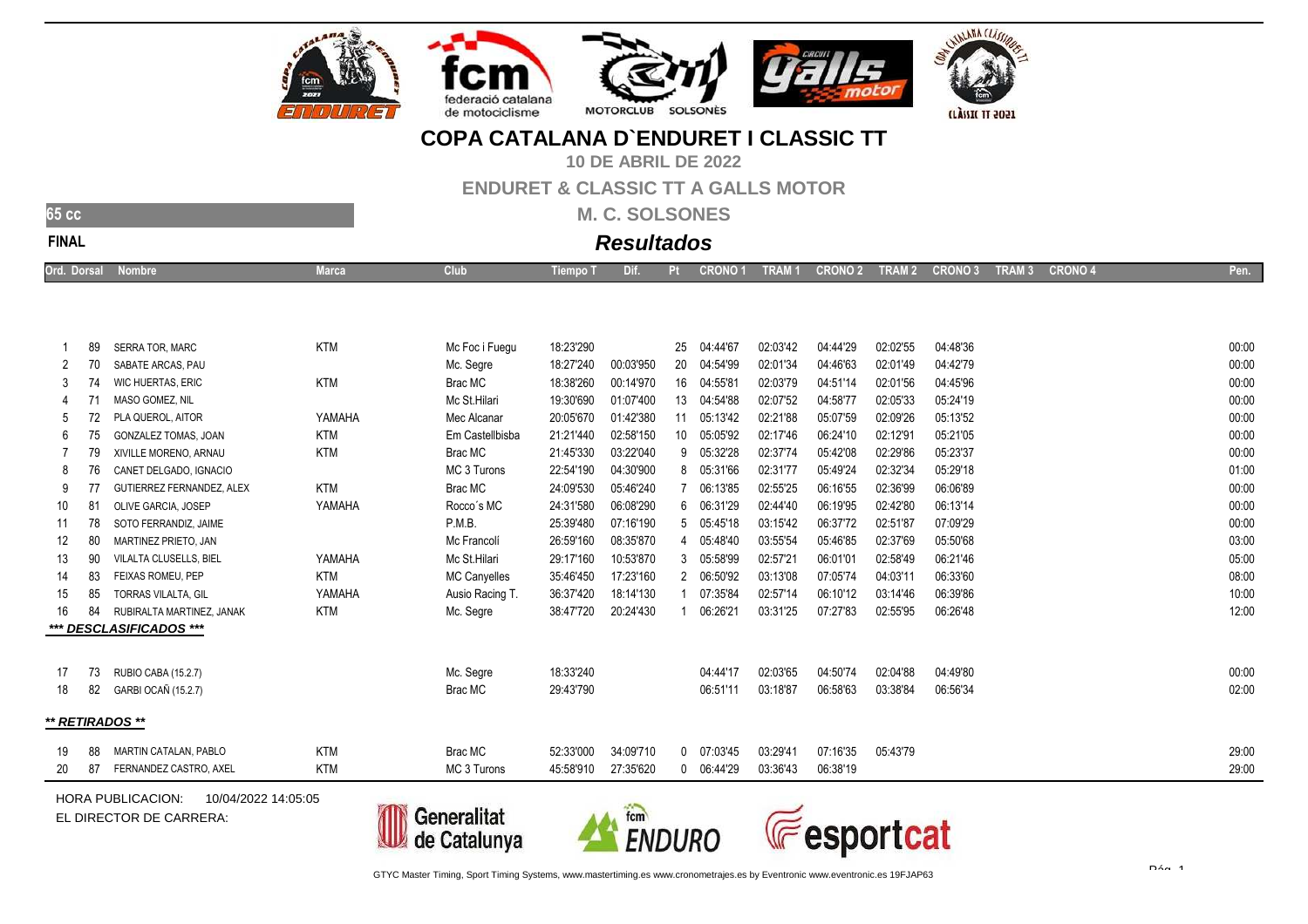







**10 DE ABRIL DE 2022**

**ENDURET & CLASSIC TT A GALLS MOTOR**

**M. C. SOLSONES**

| N<br>ı<br>u |
|-------------|

# **Resultados**

| ⊃rd. ∶<br>Dorsal<br>Nombre | uup | l iempo | התי | CRONO 1<br>_______ | <b>TRAM</b><br><b>STATE OF STATE OF STATE OF STATE OF STATE OF STATE OF STATE OF STATE OF STATE OF STATE OF STATE OF STATE</b> | <b>CRONO 2</b> | <b>TRAM 2</b><br><b>CONTRACTOR</b> | <b>CRONO 3</b> | <b>TRAM3</b><br>and the state of the state of the state of the state of the state of the state of the state of the state of the | CRONO 4 | "len. |
|----------------------------|-----|---------|-----|--------------------|--------------------------------------------------------------------------------------------------------------------------------|----------------|------------------------------------|----------------|---------------------------------------------------------------------------------------------------------------------------------|---------|-------|
|                            |     |         |     |                    |                                                                                                                                |                |                                    |                |                                                                                                                                 |         |       |

|                 | 89 | <b>SERRA TOR, MARC</b>      | <b>KTM</b> | Mc Foc i Fuegu      | 18:23'290 |           | 25 | 04:44'67       | 02:03'42 | 04:44'29 | 02:02'55 | 04:48'36 | 00:00 |
|-----------------|----|-----------------------------|------------|---------------------|-----------|-----------|----|----------------|----------|----------|----------|----------|-------|
| 70<br>2         |    | SABATE ARCAS, PAU           |            | Mc. Segre           | 18:27'240 | 00:03'950 |    | 20 04:54'99    | 02:01'34 | 04:46'63 | 02:01'49 | 04:42'79 | 00:00 |
| 74<br>3         |    | WIC HUERTAS, ERIC           | <b>KTM</b> | Brac MC             | 18:38'260 | 00:14'970 |    | 16 04:55'81    | 02:03'79 | 04:51'14 | 02:01'56 | 04:45'96 | 00:00 |
|                 |    | MASO GOMEZ. NIL             |            | Mc St.Hilari        | 19:30'690 | 01:07'400 |    | 13 04:54'88    | 02:07'52 | 04:58'77 | 02:05'33 | 05:24'19 | 00:00 |
| 5               |    | PLA QUEROL, AITOR           | YAMAHA     | Mec Alcanar         | 20:05'670 | 01:42'380 |    | 11 05:13'42    | 02:21'88 | 05:07'59 | 02:09'26 | 05:13'52 | 00:00 |
| 75<br>6         |    | <b>GONZALEZ TOMAS, JOAN</b> | <b>KTM</b> | Em Castellbisba     | 21:21'440 | 02:58'150 |    | 10 05:05'92    | 02:17'46 | 06:24'10 | 02:12'91 | 05:21'05 | 00:00 |
|                 | 79 | XIVILLE MORENO, ARNAU       | <b>KTM</b> | Brac MC             | 21:45'330 | 03:22'040 |    | 9 05:32'28     | 02:37'74 | 05:42'08 | 02:29'86 | 05:23'37 | 00:00 |
| 8               | 76 | CANET DELGADO, IGNACIO      |            | MC 3 Turons         | 22:54'190 | 04:30'900 |    | 8 05:31'66     | 02:31'77 | 05:49'24 | 02:32'34 | 05:29'18 | 01:00 |
| 9               |    | GUTIERREZ FERNANDEZ, ALEX   | <b>KTM</b> | Brac MC             | 24:09'530 | 05:46'240 |    | 06:13'85       | 02:55'25 | 06:16'55 | 02:36'99 | 06:06'89 | 00:00 |
| 10<br>81        |    | OLIVE GARCIA, JOSEP         | YAMAHA     | Rocco's MC          | 24:31'580 | 06:08'290 |    | 6 06:31'29     | 02:44'40 | 06:19'95 | 02:42'80 | 06:13'14 | 00:00 |
| 78<br>11        |    | SOTO FERRANDIZ. JAIME       |            | P.M.B.              | 25:39'480 | 07:16'190 |    | 5 05:45'18     | 03:15'42 | 06:37'72 | 02:51'87 | 07:09'29 | 00:00 |
| 80<br>12        |    | MARTINEZ PRIETO, JAN        |            | Mc Francolí         | 26:59'160 | 08:35'870 |    | 4 05:48'40     | 03:55'54 | 05:46'85 | 02:37'69 | 05:50'68 | 03:00 |
| 13              | 90 | VILALTA CLUSELLS, BIEL      | YAMAHA     | Mc St.Hilari        | 29:17'160 | 10:53'870 |    | 3 05:58'99     | 02:57'21 | 06:01'01 | 02:58'49 | 06:21'46 | 05:00 |
| 14              | 83 | FEIXAS ROMEU, PEP           | <b>KTM</b> | <b>MC Canyelles</b> | 35:46'450 | 17:23'160 |    | 2 06:50'92     | 03:13'08 | 07:05'74 | 04:03'11 | 06:33'60 | 08:00 |
| 85<br>15        |    | <b>TORRAS VILALTA, GIL</b>  | YAMAHA     | Ausio Racing T.     | 36:37'420 | 18:14'130 |    | 07:35'84       | 02:57'14 | 06:10'12 | 03:14'46 | 06:39'86 | 10:00 |
| 16<br>84        |    | RUBIRALTA MARTINEZ. JANAK   | <b>KTM</b> | Mc. Segre           | 38:47'720 | 20:24'430 |    | 06:26'21       | 03:31'25 | 07:27'83 | 02:55'95 | 06:26'48 | 12:00 |
|                 |    | *** DESCLASIFICADOS ***     |            |                     |           |           |    |                |          |          |          |          |       |
|                 |    |                             |            |                     |           |           |    |                |          |          |          |          |       |
| 17              |    | 73 RUBIO CABA (15.2.7)      |            | Mc. Segre           | 18:33'240 |           |    | 04:44'17       | 02:03'65 | 04:50'74 | 02:04'88 | 04:49'80 | 00:00 |
| 18              |    | 82 GARBI OCAÑ (15.2.7)      |            | Brac MC             | 29:43'790 |           |    | 06:51'11       | 03:18'87 | 06:58'63 | 03:38'84 | 06:56'34 | 02:00 |
|                 |    |                             |            |                     |           |           |    |                |          |          |          |          |       |
| ** RETIRADOS ** |    |                             |            |                     |           |           |    |                |          |          |          |          |       |
|                 |    |                             |            |                     |           |           |    |                |          |          |          |          |       |
| 88<br>19        |    | MARTIN CATALAN, PABLO       | <b>KTM</b> | Brac MC             | 52:33'000 | 34:09'710 |    | $0$ $07:03'45$ | 03:29'41 | 07:16'35 | 05:43'79 |          | 29:00 |
| 20<br>87        |    | FERNANDEZ CASTRO, AXEL      | <b>KTM</b> | MC 3 Turons         | 45:58'910 | 27:35'620 |    | 0 06:44'29     | 03:36'43 | 06:38'19 |          |          | 29:00 |

HORA PUBLICACION:10/04/2022 14:05:05

EL DIRECTOR DE CARRERA:





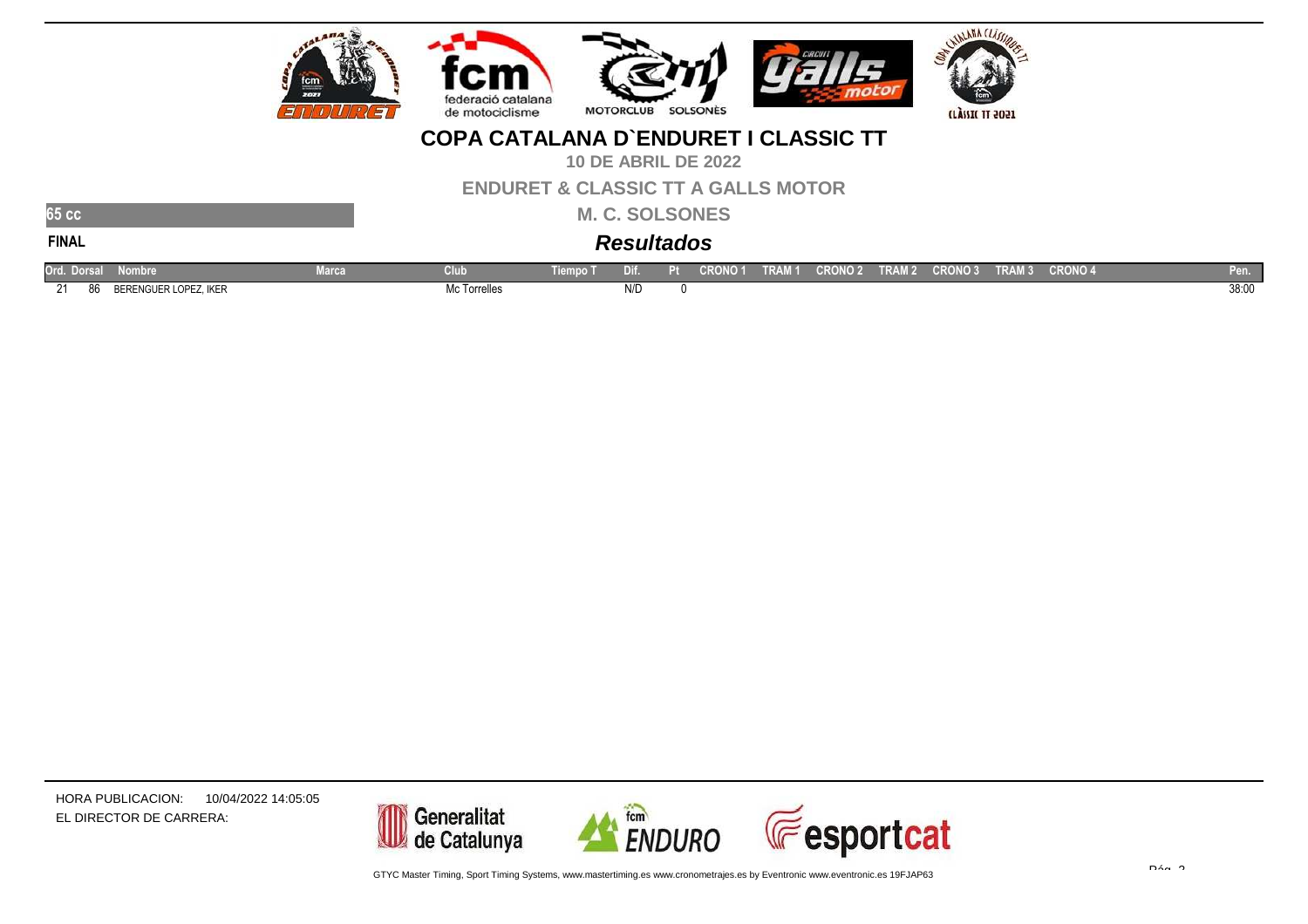

**10 DE ABRIL DE 2022**

**ENDURET & CLASSIC TT A GALLS MOTOR**

 **M. C. SOLSONESResultados**

**65 ccFINAL**

| Ord. Dorsal N | <b>Nombre</b>         | Marca | Club         | Tiempo 1 | Dif. | CRONO <sub>1</sub> | TRAM 1 CRONO 2 \ | TRAM <sub>2</sub> | CRONO 3 TRAM 3 | <b>CRONO 4</b> | Pen. I |
|---------------|-----------------------|-------|--------------|----------|------|--------------------|------------------|-------------------|----------------|----------------|--------|
| ົາ1<br>- 86   | BERENGUER LOPEZ, IKER |       | Mc Torrelles |          | N/D  |                    |                  |                   |                |                | 38:00  |

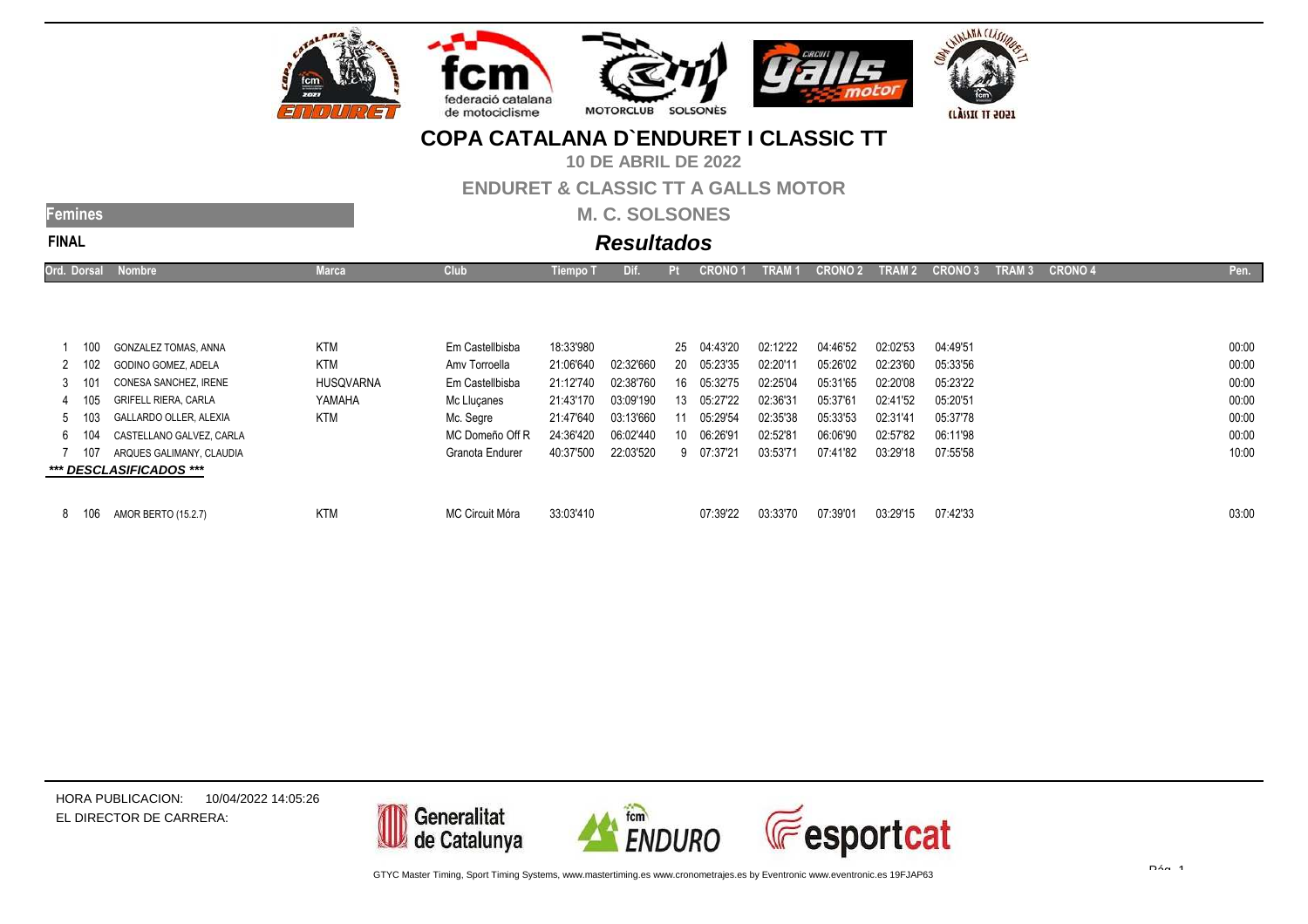

**10 DE ABRIL DE 2022**

#### **ENDURET & CLASSIC TT A GALLS MOTOR**

**M. C. SOLSONES**

| mili  |
|-------|
| FINAI |

# **Resultados**

| Ord. Dorsal |      | <b>Nombre</b>                 | Marca            | <b>Club</b>     | <b>Tiempo T</b> | Dif.      | Pt | <b>CRONO</b> | TRAM     | <b>CRON</b> | TRAM <sub>2</sub> | <b>CRONO3</b> | TRAM <sub>3</sub> | <b>CRONO 4</b> | Pen.  |
|-------------|------|-------------------------------|------------------|-----------------|-----------------|-----------|----|--------------|----------|-------------|-------------------|---------------|-------------------|----------------|-------|
|             |      |                               |                  |                 |                 |           |    |              |          |             |                   |               |                   |                |       |
|             |      |                               |                  |                 |                 |           |    |              |          |             |                   |               |                   |                |       |
|             |      |                               |                  |                 | 18:33'980       |           |    | 25 04:43'20  |          | 04:46'52    | 02:02'53          | 04:49'51      |                   |                | 00:00 |
|             | 100  | GONZALEZ TOMAS, ANNA          | <b>KTM</b>       | Em Castellbisba |                 |           |    |              | 02:12'22 |             |                   |               |                   |                |       |
| 2 102       |      | GODINO GOMEZ, ADELA           | KTM              | Amy Torroella   | 21:06'640       | 02:32'660 | 20 | 05:23'35     | 02:20'11 | 05:26'02    | 02:23'60          | 05:33'56      |                   |                | 00:00 |
| 3.          | -101 | CONESA SANCHEZ. IRENE         | <b>HUSQVARNA</b> | Em Castellbisba | 21:12'740       | 02:38'760 | 16 | 05:32'75     | 02:25'04 | 05:31'65    | 02:20'08          | 05:23'22      |                   |                | 00:00 |
|             | 105  | <b>GRIFELL RIERA, CARLA</b>   | YAMAHA           | Mc Llucanes     | 21:43'170       | 03:09'190 | 13 | 05:27'22     | 02:36'31 | 05:37'61    | 02:41'52          | 05:20'51      |                   |                | 00:00 |
| 5 103       |      | <b>GALLARDO OLLER, ALEXIA</b> | <b>KTM</b>       | Mc. Segre       | 21:47'640       | 03:13'660 | 11 | 05:29'54     | 02:35'38 | 05:33'53    | 02:31'41          | 05:37'78      |                   |                | 00:00 |
| 6 104       |      | CASTELLANO GALVEZ. CARLA      |                  | MC Domeño Off R | 24:36'420       | 06:02'440 | 10 | 06:26'91     | 02:52'81 | 06:06'90    | 02:57'82          | 06:11'98      |                   |                | 00:00 |
|             | 107  | ARQUES GALIMANY, CLAUDIA      |                  | Granota Endurer | 40:37'500       | 22:03'520 | 9  | 07:37'21     | 03:53'71 | 07:41'82    | 03:29'18          | 07:55'58      |                   |                | 10:00 |
|             |      | *** DESCLASIFICADOS ***       |                  |                 |                 |           |    |              |          |             |                   |               |                   |                |       |
|             |      |                               |                  |                 |                 |           |    |              |          |             |                   |               |                   |                |       |

| 07:39'01<br>03:33'70<br>07:39'22<br>03:29'15<br>8 106 AMOR BERTO (15.2.7)<br>33:03'410<br>07:42'33<br>MC Circuit Móra<br><b>KTM</b> | 03:00 |
|-------------------------------------------------------------------------------------------------------------------------------------|-------|
|-------------------------------------------------------------------------------------------------------------------------------------|-------|